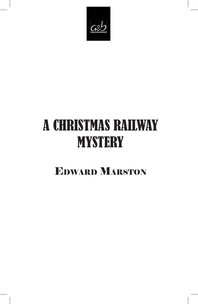

# A CHRISTMAS RAILWAY **MYSTERY**

## Edward Marston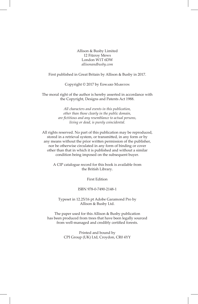Allison & Busby Limited 12 Fitzroy Mews London W1T 6DW *allisonandbusby.com*

First published in Great Britain by Allison & Busby in 2017.

Copyright © 2017 by Edward Marston

The moral right of the author is hereby asserted in accordance with the Copyright, Designs and Patents Act 1988.

> *All characters and events in this publication, other than those clearly in the public domain, are fictitious and any resemblance to actual persons, living or dead, is purely coincidental.*

All rights reserved. No part of this publication may be reproduced, stored in a retrieval system, or transmitted, in any form or by any means without the prior written permission of the publisher, nor be otherwise circulated in any form of binding or cover other than that in which it is published and without a similar condition being imposed on the subsequent buyer.

A CIP catalogue record for this book is available from the British Library.

First Edition

#### ISBN 978-0-7490-2148-1

Typeset in 12.25/16 pt Adobe Garamond Pro by Allison & Busby Ltd.

The paper used for this Allison & Busby publication has been produced from trees that have been legally sourced from well-managed and credibly certified forests.

> Printed and bound by CPI Group (UK) Ltd, Croydon, CR0 4YY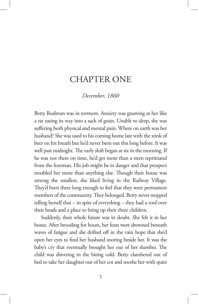### CHAPTER ONE

#### *December, 1860*

Betty Rodman was in torment. Anxiety was gnawing at her like a rat eating its way into a sack of grain. Unable to sleep, she was suffering both physical and mental pain. Where on earth was her husband? She was used to his coming home late with the stink of beer on his breath but he'd never been out this long before. It was well past midnight. The early shift began at six in the morning. If he was not there on time, he'd get more than a stern reprimand from the foreman. His job might be in danger and that prospect troubled her more than anything else. Though their house was among the smallest, she liked living in the Railway Village. They'd been there long enough to feel that they were permanent members of the community. They belonged. Betty never stopped telling herself that – in spite of everything – they had a roof over their heads and a place to bring up their three children.

Suddenly, their whole future was in doubt. She felt it in her bones. After brooding for hours, her fears were drowned beneath waves of fatigue and she drifted off in the vain hope that she'd open her eyes to find her husband snoring beside her. It was the baby's cry that eventually brought her out of her slumber. The child was shivering in the biting cold. Betty clambered out of bed to take her daughter out of her cot and soothe her with quiet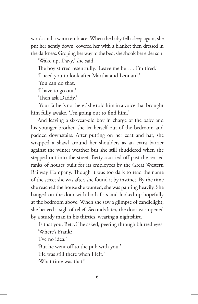words and a warm embrace. When the baby fell asleep again, she put her gently down, covered her with a blanket then dressed in the darkness. Groping her way to the bed, she shook her elder son.

'Wake up, Davy,' she said.

The boy stirred resentfully. 'Leave me be . . . I'm tired.'

'I need you to look after Martha and Leonard.'

'You can do that.'

'I have to go out.'

'Then ask Daddy.'

'Your father's not here,' she told him in a voice that brought him fully awake. 'I'm going out to find him.'

And leaving a six-year-old boy in charge of the baby and his younger brother, she let herself out of the bedroom and padded downstairs. After putting on her coat and hat, she wrapped a shawl around her shoulders as an extra barrier against the winter weather but she still shuddered when she stepped out into the street. Betty scurried off past the serried ranks of houses built for its employees by the Great Western Railway Company. Though it was too dark to read the name of the street she was after, she found it by instinct. By the time she reached the house she wanted, she was panting heavily. She banged on the door with both fists and looked up hopefully at the bedroom above. When she saw a glimpse of candlelight, she heaved a sigh of relief. Seconds later, the door was opened by a sturdy man in his thirties, wearing a nightshirt.

'Is that you, Betty?' he asked, peering through blurred eyes.

'Where's Frank?'

'I've no idea.'

'But he went off to the pub with you.'

'He was still there when I left.'

'What time was that?'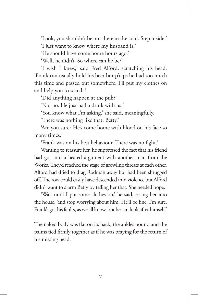'Look, you shouldn't be out there in the cold. Step inside.'

'I just want to know where my husband is.'

'He should have come home hours ago.'

'Well, he didn't. So where can he be?'

'I wish I knew,' said Fred Alford, scratching his head. 'Frank can usually hold his beer but p'raps he had too much this time and passed out somewhere. I'll put my clothes on and help you to search.'

'Did anything happen at the pub?'

'No, no. He just had a drink with us.'

'You know what I'm asking,' she said, meaningfully.

'There was nothing like that, Betty.'

'Are you sure? He's come home with blood on his face so many times.'

'Frank was on his best behaviour. There was no fight.'

Wanting to reassure her, he suppressed the fact that his friend had got into a heated argument with another man from the Works. They'd reached the stage of growling threats at each other. Alford had dried to drag Rodman away but had been shrugged off. The row could easily have descended into violence but Alford didn't want to alarm Betty by telling her that. She needed hope.

'Wait until I put some clothes on,' he said, easing her into the house, 'and stop worrying about him. He'll be fine, I'm sure. Frank's got his faults, as we all know, but he can look after himself.'

The naked body was flat on its back, the ankles bound and the palms tied firmly together as if he was praying for the return of his missing head.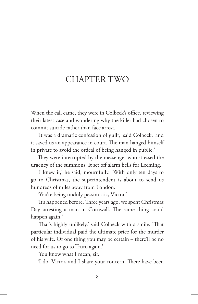## CHAPTER TWO

When the call came, they were in Colbeck's office, reviewing their latest case and wondering why the killer had chosen to commit suicide rather than face arrest.

'It was a dramatic confession of guilt,' said Colbeck, 'and it saved us an appearance in court. The man hanged himself in private to avoid the ordeal of being hanged in public.'

They were interrupted by the messenger who stressed the urgency of the summons. It set off alarm bells for Leeming.

'I knew it,' he said, mournfully. 'With only ten days to go to Christmas, the superintendent is about to send us hundreds of miles away from London.'

'You're being unduly pessimistic, Victor.'

'It's happened before. Three years ago, we spent Christmas Day arresting a man in Cornwall. The same thing could happen again.'

'That's highly unlikely,' said Colbeck with a smile. 'That particular individual paid the ultimate price for the murder of his wife. Of one thing you may be certain – there'll be no need for us to go to Truro again.'

'You know what I mean, sir.'

'I do, Victor, and I share your concern. There have been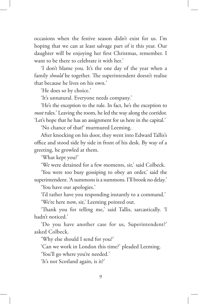occasions when the festive season didn't exist for us. I'm hoping that we can at least salvage part of it this year. Our daughter will be enjoying her first Christmas, remember. I want to be there to celebrate it with her.'

'I don't blame you. It's the one day of the year when a family *should* be together. The superintendent doesn't realise that because he lives on his own.'

'He does so by choice.'

'It's unnatural. Everyone needs company.'

'He's the exception to the rule. In fact, he's the exception to *most* rules.' Leaving the room, he led the way along the corridor. 'Let's hope that he has an assignment for us here in the capital.'

'No chance of that!' murmured Leeming.

After knocking on his door, they went into Edward Tallis's office and stood side by side in front of his desk. By way of a greeting, he growled at them.

'What kept you?'

'We were detained for a few moments, sir,' said Colbeck.

'You were too busy gossiping to obey an order,' said the superintendent. 'A summons is a summons. I'll brook no delay.'

'You have our apologies.'

'I'd rather have you responding instantly to a command.'

'We're here now, sir,' Leeming pointed out.

'Thank you for telling me,' said Tallis, sarcastically. 'I hadn't noticed.'

'Do you have another case for us, Superintendent?' asked Colbeck.

'Why else should I send for you?'

'Can we work in London this time?' pleaded Leeming.

'You'll go where you're needed.'

'It's not Scotland again, is it?'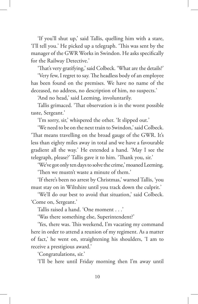'If you'll shut up,' said Tallis, quelling him with a stare, 'I'll tell you.' He picked up a telegraph. 'This was sent by the manager of the GWR Works in Swindon. He asks specifically for the Railway Detective.'

'That's very gratifying,' said Colbeck. 'What are the details?'

'Very few, I regret to say. The headless body of an employee has been found on the premises. We have no name of the deceased, no address, no description of him, no suspects.'

'And no head,' said Leeming, involuntarily.

Tallis grimaced. 'That observation is in the worst possible taste, Sergeant.'

'I'm sorry, sir,' whispered the other. 'It slipped out.'

'We need to be on the next train to Swindon,' said Colbeck. 'That means travelling on the broad gauge of the GWR. It's less than eighty miles away in total and we have a favourable gradient all the way.' He extended a hand. 'May I see the telegraph, please?' Tallis gave it to him. 'Thank you, sir.'

'We've got only ten days to solve the crime,' moaned Leeming. 'Then we mustn't waste a minute of them.'

'If there's been no arrest by Christmas,' warned Tallis, 'you must stay on in Wiltshire until you track down the culprit.'

'We'll do our best to avoid that situation,' said Colbeck. 'Come on, Sergeant.'

Tallis raised a hand. 'One moment . . .'

'Was there something else, Superintendent?'

'Yes, there was. This weekend, I'm vacating my command here in order to attend a reunion of my regiment. As a matter of fact,' he went on, straightening his shoulders, 'I am to receive a prestigious award.'

'Congratulations, sir.'

'I'll be here until Friday morning then I'm away until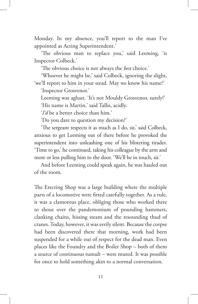Monday. In my absence, you'll report to the man I've appointed as Acting Superintendent.'

'The obvious man to replace you,' said Leeming, 'is Inspector Colbeck.'

'The obvious choice is not always the *best* choice.'

'Whoever he might be,' said Colbeck, ignoring the slight, 'we'll report to him in your stead. May we know his name?'

'Inspector Grosvenor.'

Leeming was aghast. 'It's not Mouldy Grosvenor, surely!' 'His name is Martin,' said Tallis, acidly.

'*I'd* be a better choice than him.'

'Do you dare to question my decision?'

'The sergeant respects it as much as I do, sir,' said Colbeck, anxious to get Leeming out of there before he provoked the superintendent into unleashing one of his blistering tirades. 'Time to go,' he continued, taking his colleague by the arm and more or less pulling him to the door. 'We'll be in touch, sir.'

And before Leeming could speak again, he was hauled out of the room.

The Erecting Shop was a large building where the multiple parts of a locomotive were fitted carefully together. As a rule, it was a clamorous place, obliging those who worked there to shout over the pandemonium of pounding hammers, clanking chains, hissing steam and the resounding thud of cranes. Today, however, it was eerily silent. Because the corpse had been discovered there that morning, work had been suspended for a while out of respect for the dead man. Even places like the Foundry and the Boiler Shop – both of them a source of continuous tumult – were muted. It was possible for once to hold something akin to a normal conversation.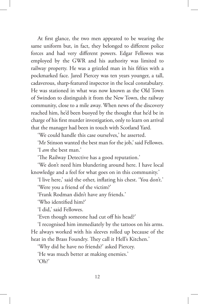At first glance, the two men appeared to be wearing the same uniform but, in fact, they belonged to different police forces and had very different powers. Edgar Fellowes was employed by the GWR and his authority was limited to railway property. He was a grizzled man in his fifties with a pockmarked face. Jared Piercey was ten years younger, a tall, cadaverous, sharp-featured inspector in the local constabulary. He was stationed in what was now known as the Old Town of Swindon to distinguish it from the New Town, the railway community, close to a mile away. When news of the discovery reached him, he'd been buoyed by the thought that he'd be in charge of his first murder investigation, only to learn on arrival that the manager had been in touch with Scotland Yard.

'We could handle this case ourselves,' he asserted.

'Mr Stinson wanted the best man for the job,' said Fellowes. 'I *am* the best man.'

'The Railway Detective has a good reputation.'

'We don't need him blundering around here. I have local knowledge and a feel for what goes on in this community.'

'I live here,' said the other, inflating his chest. 'You don't.' 'Were you a friend of the victim?'

'Frank Rodman didn't have any friends.'

'Who identified him?'

'I did,' said Fellowes.

'Even though someone had cut off his head?'

'I recognised him immediately by the tattoos on his arms. He always worked with his sleeves rolled up because of the heat in the Brass Foundry. They call it Hell's Kitchen.'

'Why did he have no friends?' asked Piercey.

'He was much better at making enemies.'

'Oh?'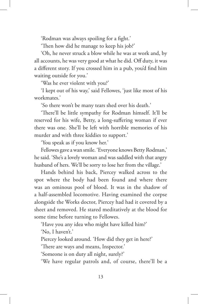'Rodman was always spoiling for a fight.'

'Then how did he manage to keep his job?'

'Oh, he never struck a blow while he was at work and, by all accounts, he was very good at what he did. Off duty, it was a different story. If you crossed him in a pub, you'd find him waiting outside for you.'

'Was he ever violent with you?'

'I kept out of his way,' said Fellowes, 'just like most of his workmates.'

'So there won't be many tears shed over his death.'

'There'll be little sympathy for Rodman himself. It'll be reserved for his wife, Betty, a long-suffering woman if ever there was one. She'll be left with horrible memories of his murder and with three kiddies to support.'

'You speak as if you know her.'

Fellowes gave a wan smile. 'Everyone knows Betty Rodman,' he said. 'She's a lovely woman and was saddled with that angry husband of hers. We'll be sorry to lose her from the village.'

Hands behind his back, Piercey walked across to the spot where the body had been found and where there was an ominous pool of blood. It was in the shadow of a half-assembled locomotive. Having examined the corpse alongside the Works doctor, Piercey had had it covered by a sheet and removed. He stared meditatively at the blood for some time before turning to Fellowes.

'Have you any idea who might have killed him?'

'No, I haven't.'

Piercey looked around. 'How did they get in here?'

'There are ways and means, Inspector.'

'Someone is on duty all night, surely?'

'We have regular patrols and, of course, there'll be a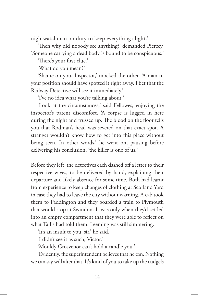nightwatchman on duty to keep everything alight.'

'Then why did nobody see anything?' demanded Piercey. 'Someone carrying a dead body is bound to be conspicuous.'

'There's your first clue.'

'What do you mean?'

'Shame on you, Inspector,' mocked the other. 'A man in your position should have spotted it right away. I bet that the Railway Detective will see it immediately.'

'I've no idea what you're talking about.'

'Look at the circumstances,' said Fellowes, enjoying the inspector's patent discomfort. 'A corpse is lugged in here during the night and trussed up. The blood on the floor tells you that Rodman's head was severed on that exact spot. A stranger wouldn't know how to get into this place without being seen. In other words,' he went on, pausing before delivering his conclusion, 'the killer is one of us.'

Before they left, the detectives each dashed off a letter to their respective wives, to be delivered by hand, explaining their departure and likely absence for some time. Both had learnt from experience to keep changes of clothing at Scotland Yard in case they had to leave the city without warning. A cab took them to Paddington and they boarded a train to Plymouth that would stop at Swindon. It was only when they'd settled into an empty compartment that they were able to reflect on what Tallis had told them. Leeming was still simmering.

'It's an insult to you, sir,' he said.

'I didn't see it as such, Victor.'

'Mouldy Grosvenor can't hold a candle you.'

'Evidently, the superintendent believes that he can. Nothing we can say will alter that. It's kind of you to take up the cudgels